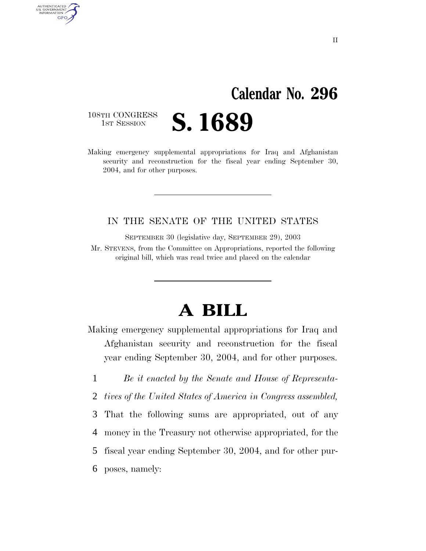# **Calendar No. 296**

108TH CONGRESS<br>1st Session

AUTHENTICATED<br>U.S. GOVERNMENT<br>INFORMATION **GPO** 

1ST SESSION **S. 1689**

Making emergency supplemental appropriations for Iraq and Afghanistan security and reconstruction for the fiscal year ending September 30, 2004, and for other purposes.

#### IN THE SENATE OF THE UNITED STATES

SEPTEMBER 30 (legislative day, SEPTEMBER 29), 2003

Mr. STEVENS, from the Committee on Appropriations, reported the following original bill, which was read twice and placed on the calendar

# **A BILL**

Making emergency supplemental appropriations for Iraq and Afghanistan security and reconstruction for the fiscal year ending September 30, 2004, and for other purposes.

1 *Be it enacted by the Senate and House of Representa-*

2 *tives of the United States of America in Congress assembled,* 

3 That the following sums are appropriated, out of any

4 money in the Treasury not otherwise appropriated, for the

5 fiscal year ending September 30, 2004, and for other pur-

6 poses, namely:

II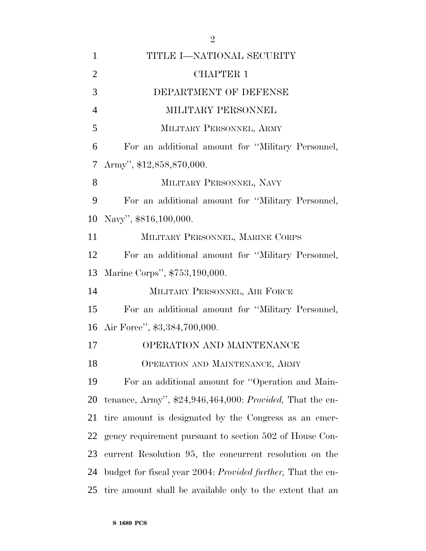| 1              | TITLE I-NATIONAL SECURITY                                           |
|----------------|---------------------------------------------------------------------|
| $\overline{2}$ | <b>CHAPTER 1</b>                                                    |
| 3              | DEPARTMENT OF DEFENSE                                               |
| $\overline{4}$ | MILITARY PERSONNEL                                                  |
| 5              | MILITARY PERSONNEL, ARMY                                            |
| 6              | For an additional amount for "Military Personnel,                   |
| 7              | Army", \$12,858,870,000.                                            |
| 8              | MILITARY PERSONNEL, NAVY                                            |
| 9              | For an additional amount for "Military Personnel,                   |
| 10             | Navy", \$816,100,000.                                               |
| 11             | MILITARY PERSONNEL, MARINE CORPS                                    |
| 12             | For an additional amount for "Military Personnel,                   |
| 13             | Marine Corps", \$753,190,000.                                       |
| 14             | MILITARY PERSONNEL, AIR FORCE                                       |
| 15             | For an additional amount for "Military Personnel,                   |
|                | 16 Air Force", \$3,384,700,000.                                     |
| 17             | <b>OPERATION AND MAINTENANCE</b>                                    |
| 18             | OPERATION AND MAINTENANCE, ARMY                                     |
| 19             | For an additional amount for "Operation and Main-                   |
| 20             | tenance, Army", $$24,946,464,000$ : <i>Provided</i> , That the en-  |
| 21             | tire amount is designated by the Congress as an emer-               |
| 22             | gency requirement pursuant to section 502 of House Con-             |
| 23             | current Resolution 95, the concurrent resolution on the             |
| 24             | budget for fiscal year 2004: <i>Provided further</i> , That the en- |
| 25             | tire amount shall be available only to the extent that an           |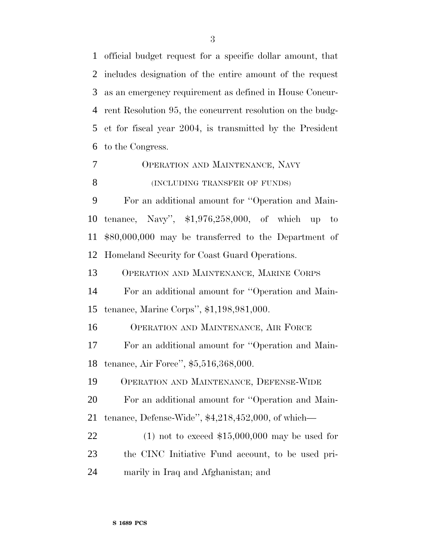official budget request for a specific dollar amount, that includes designation of the entire amount of the request as an emergency requirement as defined in House Concur- rent Resolution 95, the concurrent resolution on the budg- et for fiscal year 2004, is transmitted by the President to the Congress.

 OPERATION AND MAINTENANCE, NAVY **(INCLUDING TRANSFER OF FUNDS)** 

 For an additional amount for ''Operation and Main- tenance, Navy'', \$1,976,258,000, of which up to \$80,000,000 may be transferred to the Department of Homeland Security for Coast Guard Operations.

OPERATION AND MAINTENANCE, MARINE CORPS

 For an additional amount for ''Operation and Main-tenance, Marine Corps'', \$1,198,981,000.

OPERATION AND MAINTENANCE, AIR FORCE

 For an additional amount for ''Operation and Main-tenance, Air Force'', \$5,516,368,000.

OPERATION AND MAINTENANCE, DEFENSE-WIDE

 For an additional amount for ''Operation and Main-tenance, Defense-Wide'', \$4,218,452,000, of which—

 (1) not to exceed \$15,000,000 may be used for the CINC Initiative Fund account, to be used pri-marily in Iraq and Afghanistan; and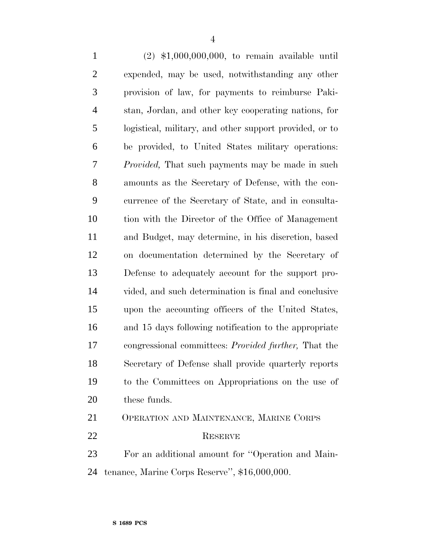(2) \$1,000,000,000, to remain available until expended, may be used, notwithstanding any other provision of law, for payments to reimburse Paki- stan, Jordan, and other key cooperating nations, for logistical, military, and other support provided, or to be provided, to United States military operations: *Provided,* That such payments may be made in such amounts as the Secretary of Defense, with the con- currence of the Secretary of State, and in consulta- tion with the Director of the Office of Management and Budget, may determine, in his discretion, based on documentation determined by the Secretary of Defense to adequately account for the support pro- vided, and such determination is final and conclusive upon the accounting officers of the United States, and 15 days following notification to the appropriate congressional committees: *Provided further,* That the Secretary of Defense shall provide quarterly reports to the Committees on Appropriations on the use of these funds.

 OPERATION AND MAINTENANCE, MARINE CORPS RESERVE

 For an additional amount for ''Operation and Main-tenance, Marine Corps Reserve'', \$16,000,000.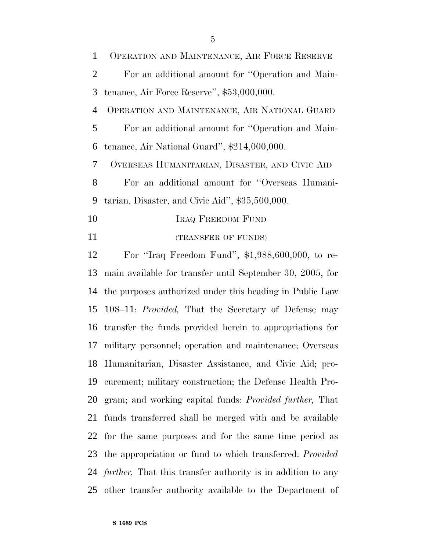| $\mathbf{1}$   | OPERATION AND MAINTENANCE, AIR FORCE RESERVE                   |
|----------------|----------------------------------------------------------------|
| $\overline{2}$ | For an additional amount for "Operation and Main-              |
| 3              | tenance, Air Force Reserve'', $$53,000,000$ .                  |
| $\overline{4}$ | OPERATION AND MAINTENANCE, AIR NATIONAL GUARD                  |
| 5              | For an additional amount for "Operation and Main-              |
| 6              | tenance, Air National Guard", \$214,000,000.                   |
| 7              | OVERSEAS HUMANITARIAN, DISASTER, AND CIVIC AID                 |
| 8              | For an additional amount for "Overseas Humani-                 |
| 9              | tarian, Disaster, and Civic Aid", \$35,500,000.                |
| 10             | <b>IRAQ FREEDOM FUND</b>                                       |
| 11             | (TRANSFER OF FUNDS)                                            |
| 12             | For "Iraq Freedom Fund", $$1,988,600,000$ , to re-             |
| 13             | main available for transfer until September 30, 2005, for      |
|                | 14 the purposes authorized under this heading in Public Law    |
|                | 15 108–11: <i>Provided</i> , That the Secretary of Defense may |
|                |                                                                |

 main available for transfer until September 30, 2005, for the purposes authorized under this heading in Public Law 108–11: *Provided,* That the Secretary of Defense may transfer the funds provided herein to appropriations for military personnel; operation and maintenance; Overseas Humanitarian, Disaster Assistance, and Civic Aid; pro- curement; military construction; the Defense Health Pro- gram; and working capital funds: *Provided further,* That funds transferred shall be merged with and be available for the same purposes and for the same time period as the appropriation or fund to which transferred: *Provided further,* That this transfer authority is in addition to any other transfer authority available to the Department of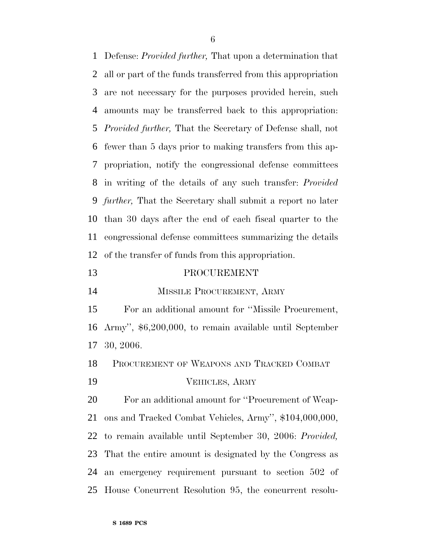Defense: *Provided further,* That upon a determination that all or part of the funds transferred from this appropriation are not necessary for the purposes provided herein, such amounts may be transferred back to this appropriation: *Provided further,* That the Secretary of Defense shall, not fewer than 5 days prior to making transfers from this ap- propriation, notify the congressional defense committees in writing of the details of any such transfer: *Provided further,* That the Secretary shall submit a report no later than 30 days after the end of each fiscal quarter to the congressional defense committees summarizing the details of the transfer of funds from this appropriation.

#### PROCUREMENT

MISSILE PROCUREMENT, ARMY

 For an additional amount for ''Missile Procurement, Army'', \$6,200,000, to remain available until September 30, 2006.

 PROCUREMENT OF WEAPONS AND TRACKED COMBAT VEHICLES, ARMY

 For an additional amount for ''Procurement of Weap- ons and Tracked Combat Vehicles, Army'', \$104,000,000, to remain available until September 30, 2006: *Provided,* That the entire amount is designated by the Congress as an emergency requirement pursuant to section 502 of House Concurrent Resolution 95, the concurrent resolu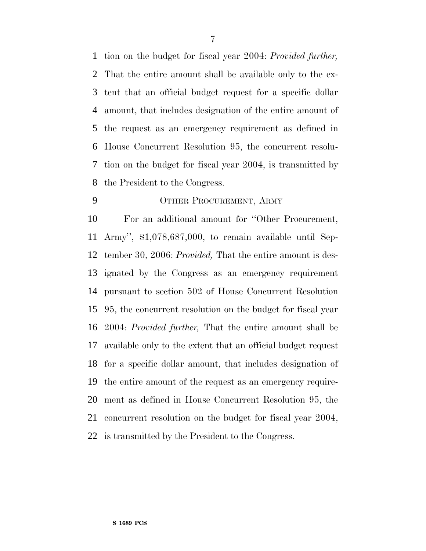tion on the budget for fiscal year 2004: *Provided further,* That the entire amount shall be available only to the ex- tent that an official budget request for a specific dollar amount, that includes designation of the entire amount of the request as an emergency requirement as defined in House Concurrent Resolution 95, the concurrent resolu- tion on the budget for fiscal year 2004, is transmitted by the President to the Congress.

#### OTHER PROCUREMENT, ARMY

 For an additional amount for ''Other Procurement, Army'', \$1,078,687,000, to remain available until Sep- tember 30, 2006: *Provided,* That the entire amount is des- ignated by the Congress as an emergency requirement pursuant to section 502 of House Concurrent Resolution 95, the concurrent resolution on the budget for fiscal year 2004: *Provided further,* That the entire amount shall be available only to the extent that an official budget request for a specific dollar amount, that includes designation of the entire amount of the request as an emergency require- ment as defined in House Concurrent Resolution 95, the concurrent resolution on the budget for fiscal year 2004, is transmitted by the President to the Congress.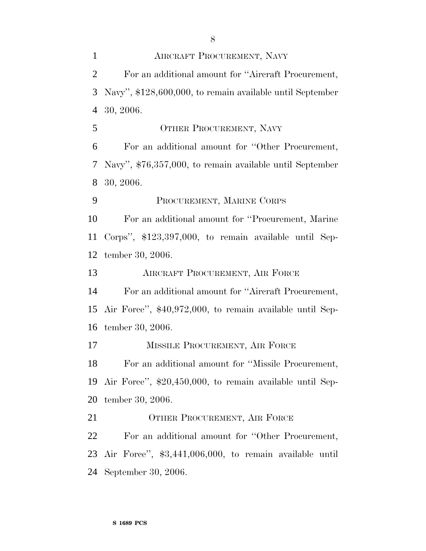AIRCRAFT PROCUREMENT, NAVY For an additional amount for ''Aircraft Procurement, Navy'', \$128,600,000, to remain available until September 30, 2006. 5 OTHER PROCUREMENT, NAVY For an additional amount for ''Other Procurement, Navy'', \$76,357,000, to remain available until September 30, 2006. PROCUREMENT, MARINE CORPS For an additional amount for ''Procurement, Marine Corps'', \$123,397,000, to remain available until Sep- tember 30, 2006. AIRCRAFT PROCUREMENT, AIR FORCE For an additional amount for ''Aircraft Procurement, Air Force'', \$40,972,000, to remain available until Sep- tember 30, 2006. 17 MISSILE PROCUREMENT, AIR FORCE For an additional amount for ''Missile Procurement, Air Force'', \$20,450,000, to remain available until Sep- tember 30, 2006. 21 OTHER PROCUREMENT, AIR FORCE For an additional amount for ''Other Procurement, Air Force'', \$3,441,006,000, to remain available until

September 30, 2006.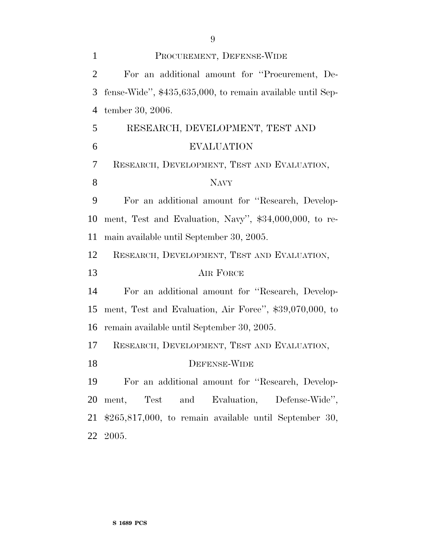| $\mathbf{1}$   | PROCUREMENT, DEFENSE-WIDE                                  |
|----------------|------------------------------------------------------------|
| $\overline{2}$ | For an additional amount for "Procurement, De-             |
| 3              | fense-Wide", \$435,635,000, to remain available until Sep- |
| $\overline{4}$ | tember 30, 2006.                                           |
| 5              | RESEARCH, DEVELOPMENT, TEST AND                            |
| 6              | <b>EVALUATION</b>                                          |
| 7              | RESEARCH, DEVELOPMENT, TEST AND EVALUATION,                |
| 8              | <b>NAVY</b>                                                |
| 9              | For an additional amount for "Research, Develop-           |
| 10             | ment, Test and Evaluation, Navy", \$34,000,000, to re-     |
| 11             | main available until September 30, 2005.                   |
| 12             | RESEARCH, DEVELOPMENT, TEST AND EVALUATION,                |
| 13             | AIR FORCE                                                  |
| 14             | For an additional amount for "Research, Develop-           |
| 15             | ment, Test and Evaluation, Air Force", \$39,070,000, to    |
| 16             | remain available until September 30, 2005.                 |
| 17             | RESEARCH, DEVELOPMENT, TEST AND EVALUATION,                |
| 18             | DEFENSE-WIDE                                               |
| 19             | For an additional amount for "Research, Develop-           |
| 20             | ment, Test and Evaluation, Defense-Wide",                  |
| 21             | $$265,817,000$ , to remain available until September 30,   |
| 22             | 2005.                                                      |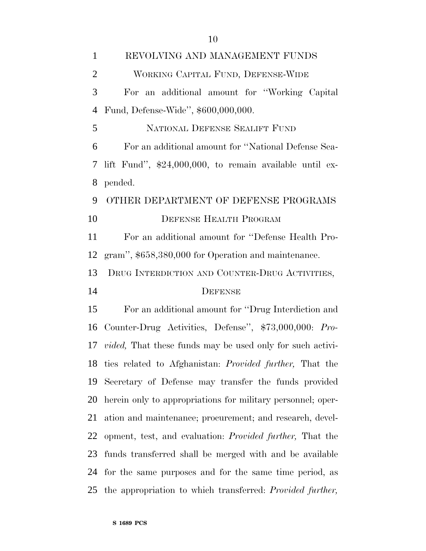| $\mathbf{1}$   | REVOLVING AND MANAGEMENT FUNDS                                       |
|----------------|----------------------------------------------------------------------|
| $\overline{2}$ | WORKING CAPITAL FUND, DEFENSE-WIDE                                   |
| 3              | For an additional amount for "Working Capital"                       |
| $\overline{4}$ | Fund, Defense-Wide", \$600,000,000.                                  |
| 5              | NATIONAL DEFENSE SEALIFT FUND                                        |
| 6              | For an additional amount for "National Defense Sea-                  |
| 7              | lift Fund", $$24,000,000$ , to remain available until ex-            |
| 8              | pended.                                                              |
| 9              | OTHER DEPARTMENT OF DEFENSE PROGRAMS                                 |
| 10             | <b>DEFENSE HEALTH PROGRAM</b>                                        |
| 11             | For an additional amount for "Defense Health Pro-                    |
| 12             | gram", \$658,380,000 for Operation and maintenance.                  |
| 13             | DRUG INTERDICTION AND COUNTER-DRUG ACTIVITIES,                       |
| 14             | <b>DEFENSE</b>                                                       |
| 15             | For an additional amount for "Drug Interdiction and                  |
| 16             | Counter-Drug Activities, Defense", \$73,000,000: Pro-                |
| 17             | <i>vided</i> , That these funds may be used only for such activi-    |
|                | 18 ties related to Afghanistan: Provided further, That the           |
| 19             | Secretary of Defense may transfer the funds provided                 |
| 20             | herein only to appropriations for military personnel; oper-          |
| 21             | ation and maintenance; procurement; and research, devel-             |
| 22             | opment, test, and evaluation: <i>Provided further</i> , That the     |
| 23             | funds transferred shall be merged with and be available              |
| 24             | for the same purposes and for the same time period, as               |
|                | 25 the appropriation to which transferred: <i>Provided further</i> , |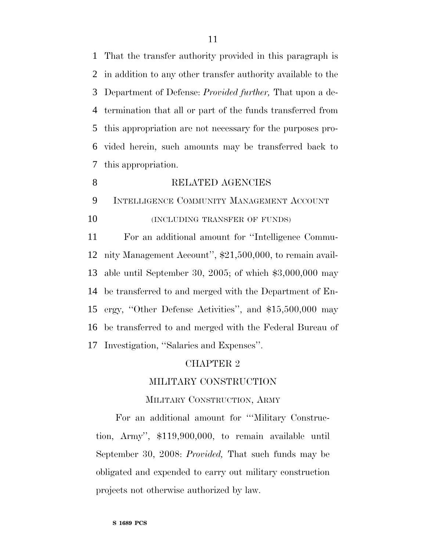That the transfer authority provided in this paragraph is in addition to any other transfer authority available to the Department of Defense: *Provided further,* That upon a de- termination that all or part of the funds transferred from this appropriation are not necessary for the purposes pro- vided herein, such amounts may be transferred back to this appropriation.

#### 8 RELATED AGENCIES

 INTELLIGENCE COMMUNITY MANAGEMENT ACCOUNT **(INCLUDING TRANSFER OF FUNDS)** 

 For an additional amount for ''Intelligence Commu- nity Management Account'', \$21,500,000, to remain avail- able until September 30, 2005; of which \$3,000,000 may be transferred to and merged with the Department of En- ergy, ''Other Defense Activities'', and \$15,500,000 may be transferred to and merged with the Federal Bureau of Investigation, ''Salaries and Expenses''.

#### CHAPTER 2

#### MILITARY CONSTRUCTION

#### MILITARY CONSTRUCTION, ARMY

For an additional amount for '''Military Construction, Army'', \$119,900,000, to remain available until September 30, 2008: *Provided,* That such funds may be obligated and expended to carry out military construction projects not otherwise authorized by law.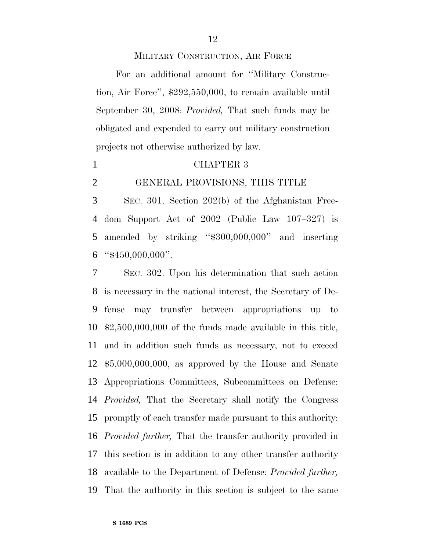#### MILITARY CONSTRUCTION, AIR FORCE

For an additional amount for ''Military Construction, Air Force'', \$292,550,000, to remain available until September 30, 2008: *Provided,* That such funds may be obligated and expended to carry out military construction projects not otherwise authorized by law.

#### CHAPTER 3

#### GENERAL PROVISIONS, THIS TITLE

 SEC. 301. Section 202(b) of the Afghanistan Free- dom Support Act of 2002 (Public Law 107–327) is amended by striking ''\$300,000,000'' and inserting "\$450,000,000".

 SEC. 302. Upon his determination that such action is necessary in the national interest, the Secretary of De- fense may transfer between appropriations up to \$2,500,000,000 of the funds made available in this title, and in addition such funds as necessary, not to exceed \$5,000,000,000, as approved by the House and Senate Appropriations Committees, Subcommittees on Defense: *Provided,* That the Secretary shall notify the Congress promptly of each transfer made pursuant to this authority: *Provided further,* That the transfer authority provided in this section is in addition to any other transfer authority available to the Department of Defense: *Provided further,* That the authority in this section is subject to the same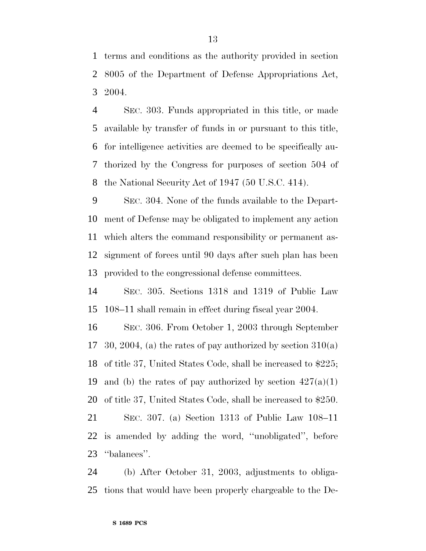terms and conditions as the authority provided in section 8005 of the Department of Defense Appropriations Act, 2004.

 SEC. 303. Funds appropriated in this title, or made available by transfer of funds in or pursuant to this title, for intelligence activities are deemed to be specifically au- thorized by the Congress for purposes of section 504 of the National Security Act of 1947 (50 U.S.C. 414).

 SEC. 304. None of the funds available to the Depart- ment of Defense may be obligated to implement any action which alters the command responsibility or permanent as- signment of forces until 90 days after such plan has been provided to the congressional defense committees.

 SEC. 305. Sections 1318 and 1319 of Public Law 108–11 shall remain in effect during fiscal year 2004.

 SEC. 306. From October 1, 2003 through September 17 30, 2004, (a) the rates of pay authorized by section  $310(a)$  of title 37, United States Code, shall be increased to \$225; 19 and (b) the rates of pay authorized by section  $427(a)(1)$  of title 37, United States Code, shall be increased to \$250. SEC. 307. (a) Section 1313 of Public Law 108–11

 is amended by adding the word, ''unobligated'', before ''balances''.

 (b) After October 31, 2003, adjustments to obliga-tions that would have been properly chargeable to the De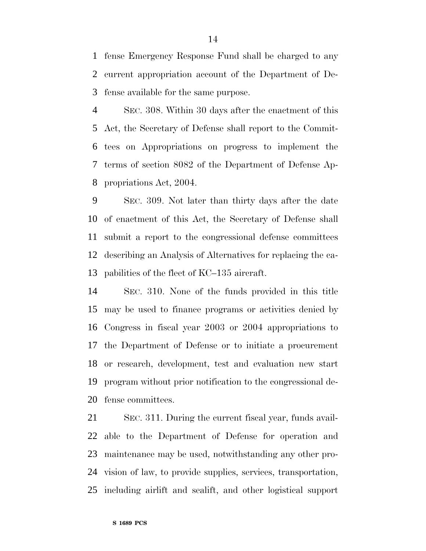fense Emergency Response Fund shall be charged to any current appropriation account of the Department of De-fense available for the same purpose.

 SEC. 308. Within 30 days after the enactment of this Act, the Secretary of Defense shall report to the Commit- tees on Appropriations on progress to implement the terms of section 8082 of the Department of Defense Ap-propriations Act, 2004.

 SEC. 309. Not later than thirty days after the date of enactment of this Act, the Secretary of Defense shall submit a report to the congressional defense committees describing an Analysis of Alternatives for replacing the ca-pabilities of the fleet of KC–135 aircraft.

 SEC. 310. None of the funds provided in this title may be used to finance programs or activities denied by Congress in fiscal year 2003 or 2004 appropriations to the Department of Defense or to initiate a procurement or research, development, test and evaluation new start program without prior notification to the congressional de-fense committees.

 SEC. 311. During the current fiscal year, funds avail- able to the Department of Defense for operation and maintenance may be used, notwithstanding any other pro- vision of law, to provide supplies, services, transportation, including airlift and sealift, and other logistical support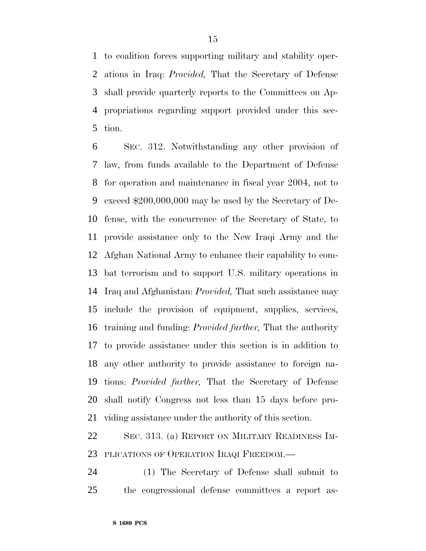to coalition forces supporting military and stability oper- ations in Iraq: *Provided,* That the Secretary of Defense shall provide quarterly reports to the Committees on Ap- propriations regarding support provided under this sec-tion.

 SEC. 312. Notwithstanding any other provision of law, from funds available to the Department of Defense for operation and maintenance in fiscal year 2004, not to exceed \$200,000,000 may be used by the Secretary of De- fense, with the concurrence of the Secretary of State, to provide assistance only to the New Iraqi Army and the Afghan National Army to enhance their capability to com- bat terrorism and to support U.S. military operations in Iraq and Afghanistan: *Provided,* That such assistance may include the provision of equipment, supplies, services, training and funding: *Provided further,* That the authority to provide assistance under this section is in addition to any other authority to provide assistance to foreign na- tions: *Provided further,* That the Secretary of Defense shall notify Congress not less than 15 days before pro-viding assistance under the authority of this section.

 SEC. 313. (a) REPORT ON MILITARY READINESS IM-PLICATIONS OF OPERATION IRAQI FREEDOM.—

 (1) The Secretary of Defense shall submit to the congressional defense committees a report as-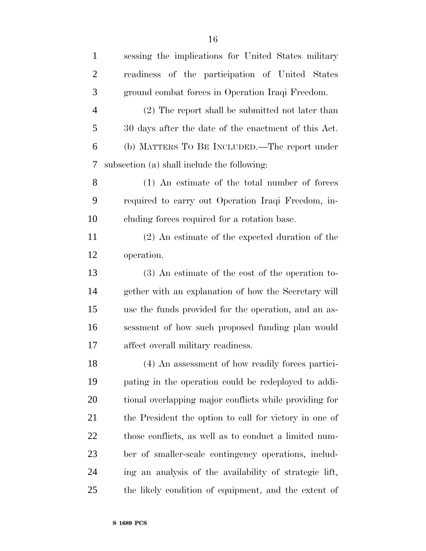| $\mathbf{1}$   | sessing the implications for United States military    |
|----------------|--------------------------------------------------------|
| $\overline{2}$ | readiness of the participation of United States        |
| 3              | ground combat forces in Operation Iraqi Freedom.       |
| 4              | (2) The report shall be submitted not later than       |
| 5              | 30 days after the date of the enactment of this Act.   |
| 6              | (b) MATTERS TO BE INCLUDED.—The report under           |
| 7              | subsection (a) shall include the following:            |
| 8              | (1) An estimate of the total number of forces          |
| 9              | required to carry out Operation Iraqi Freedom, in-     |
| 10             | cluding forces required for a rotation base.           |
| 11             | (2) An estimate of the expected duration of the        |
| 12             | operation.                                             |
| 13             | $(3)$ An estimate of the cost of the operation to-     |
| 14             | gether with an explanation of how the Secretary will   |
| 15             | use the funds provided for the operation, and an as-   |
| 16             | sessment of how such proposed funding plan would       |
| 17             | affect overall military readiness.                     |
| 18             | (4) An assessment of how readily forces partici-       |
| 19             | pating in the operation could be redeployed to addi-   |
| 20             | tional overlapping major conflicts while providing for |
| 21             | the President the option to call for victory in one of |
| 22             | those conflicts, as well as to conduct a limited num-  |
| 23             | ber of smaller-scale contingency operations, includ-   |
| 24             | ing an analysis of the availability of strategic lift, |
| 25             | the likely condition of equipment, and the extent of   |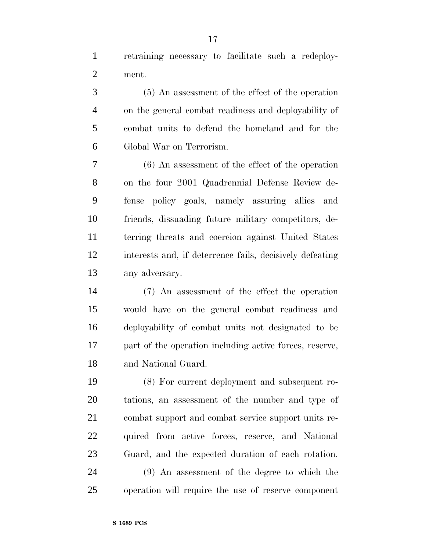retraining necessary to facilitate such a redeploy-ment.

 (5) An assessment of the effect of the operation on the general combat readiness and deployability of combat units to defend the homeland and for the Global War on Terrorism.

 (6) An assessment of the effect of the operation on the four 2001 Quadrennial Defense Review de- fense policy goals, namely assuring allies and friends, dissuading future military competitors, de- terring threats and coercion against United States interests and, if deterrence fails, decisively defeating any adversary.

 (7) An assessment of the effect the operation would have on the general combat readiness and deployability of combat units not designated to be part of the operation including active forces, reserve, and National Guard.

 (8) For current deployment and subsequent ro- tations, an assessment of the number and type of combat support and combat service support units re- quired from active forces, reserve, and National Guard, and the expected duration of each rotation.

 (9) An assessment of the degree to which the operation will require the use of reserve component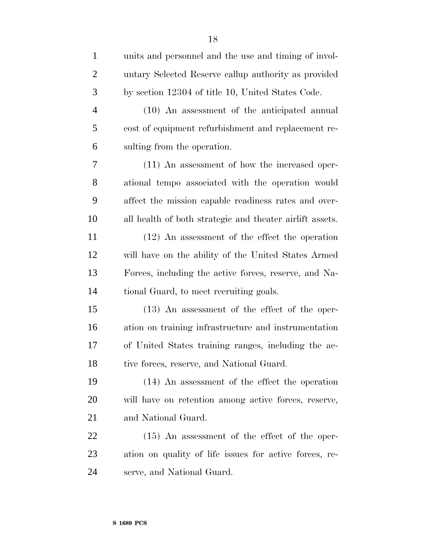| $\mathbf{1}$   | units and personnel and the use and timing of invol-     |
|----------------|----------------------------------------------------------|
| $\overline{2}$ | untary Selected Reserve callup authority as provided     |
| 3              | by section 12304 of title 10, United States Code.        |
| $\overline{4}$ | (10) An assessment of the anticipated annual             |
| 5              | cost of equipment refurbishment and replacement re-      |
| 6              | sulting from the operation.                              |
| 7              | (11) An assessment of how the increased oper-            |
| 8              | ational tempo associated with the operation would        |
| 9              | affect the mission capable readiness rates and over-     |
| 10             | all health of both strategic and theater airlift assets. |
| 11             | $(12)$ An assessment of the effect the operation         |
| 12             | will have on the ability of the United States Armed      |
| 13             | Forces, including the active forces, reserve, and Na-    |
| 14             | tional Guard, to meet recruiting goals.                  |
| 15             | $(13)$ An assessment of the effect of the oper-          |
| 16             | ation on training infrastructure and instrumentation     |
| 17             | of United States training ranges, including the ac-      |
| 18             | tive forces, reserve, and National Guard.                |
| 19             | (14) An assessment of the effect the operation           |
| 20             | will have on retention among active forces, reserve,     |
| 21             | and National Guard.                                      |
| <u>22</u>      | $(15)$ An assessment of the effect of the oper-          |
| 23             | ation on quality of life issues for active forces, re-   |
| 24             | serve, and National Guard.                               |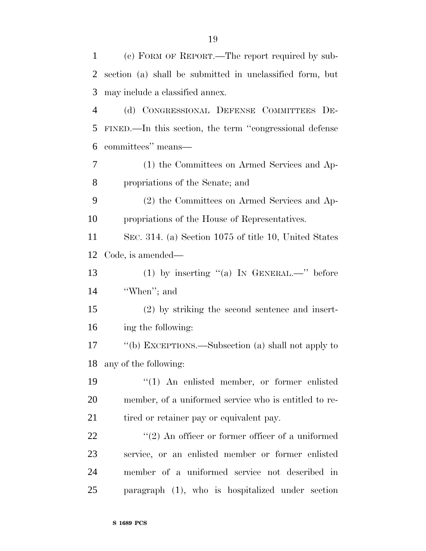| $\mathbf{1}$   | (c) FORM OF REPORT.—The report required by sub-          |
|----------------|----------------------------------------------------------|
| $\overline{2}$ | section (a) shall be submitted in unclassified form, but |
| 3              | may include a classified annex.                          |
| $\overline{4}$ | (d) CONGRESSIONAL DEFENSE COMMITTEES DE-                 |
| 5              | FINED.—In this section, the term "congressional defense  |
| 6              | committees" means-                                       |
| 7              | (1) the Committees on Armed Services and Ap-             |
| 8              | propriations of the Senate; and                          |
| 9              | (2) the Committees on Armed Services and Ap-             |
| 10             | propriations of the House of Representatives.            |
| 11             | SEC. 314. (a) Section 1075 of title 10, United States    |
| 12             | Code, is amended—                                        |
| 13             | (1) by inserting "(a) IN GENERAL.—" before               |
| 14             | "When"; and                                              |
| 15             | $(2)$ by striking the second sentence and insert-        |
| 16             | ing the following:                                       |
| 17             | "(b) EXCEPTIONS.—Subsection (a) shall not apply to       |
|                | 18 any of the following:                                 |
| 19             | $(1)$ An enlisted member, or former enlisted             |
| 20             | member, of a uniformed service who is entitled to re-    |
| 21             | tired or retainer pay or equivalent pay.                 |
| 22             | $"(2)$ An officer or former officer of a uniformed       |
| 23             | service, or an enlisted member or former enlisted        |
| 24             | member of a uniformed service not described in           |
| 25             | paragraph (1), who is hospitalized under section         |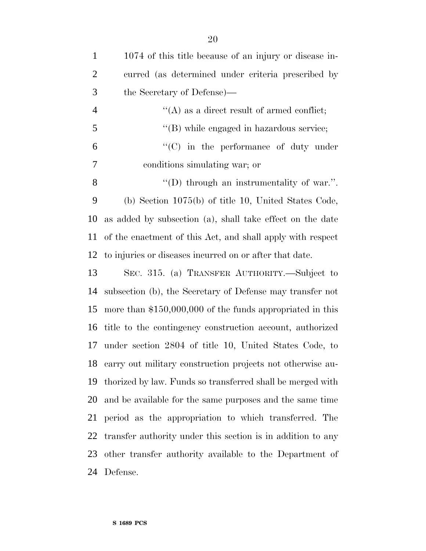| $\mathbf{1}$   | 1074 of this title because of an injury or disease in-      |
|----------------|-------------------------------------------------------------|
| $\overline{2}$ | curred (as determined under criteria prescribed by          |
| 3              | the Secretary of Defense)—                                  |
| $\overline{4}$ | $\lq\lq$ as a direct result of armed conflict;              |
| 5              | "(B) while engaged in hazardous service;                    |
| 6              | $\cdot$ (C) in the performance of duty under                |
| 7              | conditions simulating war; or                               |
| 8              | $\lq\lq$ through an instrumentality of war.".               |
| 9              | (b) Section $1075(b)$ of title 10, United States Code,      |
| 10             | as added by subsection (a), shall take effect on the date   |
| 11             | of the enactment of this Act, and shall apply with respect  |
| 12             | to injuries or diseases incurred on or after that date.     |
| 13             | SEC. 315. (a) TRANSFER AUTHORITY.—Subject to                |
| 14             | subsection (b), the Secretary of Defense may transfer not   |
| 15             | more than $$150,000,000$ of the funds appropriated in this  |
| 16             | title to the contingency construction account, authorized   |
| 17             | under section 2804 of title 10, United States Code, to      |
| 18             | carry out military construction projects not otherwise au-  |
| 19             | thorized by law. Funds so transferred shall be merged with  |
| 20             | and be available for the same purposes and the same time    |
| 21             | period as the appropriation to which transferred. The       |
| 22             | transfer authority under this section is in addition to any |
| 23             | other transfer authority available to the Department of     |
| 24             | Defense.                                                    |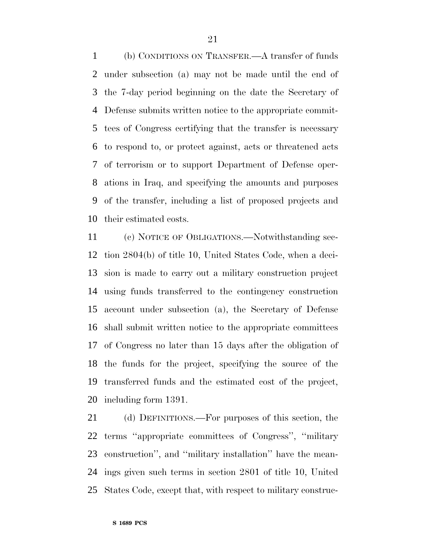(b) CONDITIONS ON TRANSFER.—A transfer of funds under subsection (a) may not be made until the end of the 7-day period beginning on the date the Secretary of Defense submits written notice to the appropriate commit- tees of Congress certifying that the transfer is necessary to respond to, or protect against, acts or threatened acts of terrorism or to support Department of Defense oper- ations in Iraq, and specifying the amounts and purposes of the transfer, including a list of proposed projects and their estimated costs.

 (c) NOTICE OF OBLIGATIONS.—Notwithstanding sec- tion 2804(b) of title 10, United States Code, when a deci- sion is made to carry out a military construction project using funds transferred to the contingency construction account under subsection (a), the Secretary of Defense shall submit written notice to the appropriate committees of Congress no later than 15 days after the obligation of the funds for the project, specifying the source of the transferred funds and the estimated cost of the project, including form 1391.

 (d) DEFINITIONS.—For purposes of this section, the terms ''appropriate committees of Congress'', ''military construction'', and ''military installation'' have the mean- ings given such terms in section 2801 of title 10, United States Code, except that, with respect to military construc-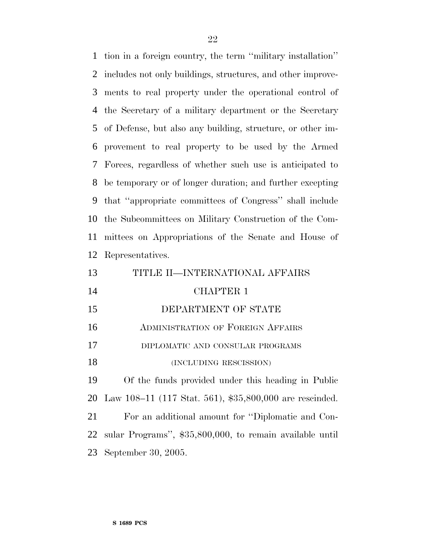tion in a foreign country, the term ''military installation'' includes not only buildings, structures, and other improve- ments to real property under the operational control of the Secretary of a military department or the Secretary of Defense, but also any building, structure, or other im- provement to real property to be used by the Armed Forces, regardless of whether such use is anticipated to be temporary or of longer duration; and further excepting that ''appropriate committees of Congress'' shall include the Subcommittees on Military Construction of the Com- mittees on Appropriations of the Senate and House of Representatives.

| 13 | TITLE II—INTERNATIONAL AFFAIRS                              |
|----|-------------------------------------------------------------|
| 14 | <b>CHAPTER 1</b>                                            |
| 15 | DEPARTMENT OF STATE                                         |
| 16 | <b>ADMINISTRATION OF FOREIGN AFFAIRS</b>                    |
| 17 | DIPLOMATIC AND CONSULAR PROGRAMS                            |
| 18 | (INCLUDING RESCISSION)                                      |
| 19 | Of the funds provided under this heading in Public          |
|    | 20 Law 108–11 (117 Stat. 561), \$35,800,000 are rescinded.  |
| 21 | For an additional amount for "Diplomatic and Con-           |
|    | 22 sular Programs", \$35,800,000, to remain available until |
|    | 23 September 30, 2005.                                      |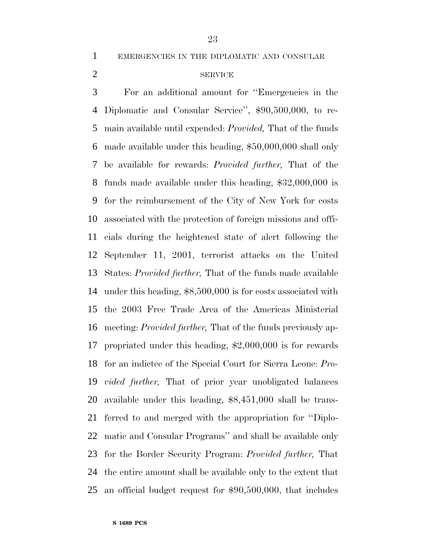EMERGENCIES IN THE DIPLOMATIC AND CONSULAR

#### 2 SERVICE

 For an additional amount for ''Emergencies in the Diplomatic and Consular Service'', \$90,500,000, to re- main available until expended: *Provided,* That of the funds made available under this heading, \$50,000,000 shall only be available for rewards: *Provided further,* That of the funds made available under this heading, \$32,000,000 is for the reimbursement of the City of New York for costs associated with the protection of foreign missions and offi- cials during the heightened state of alert following the September 11, 2001, terrorist attacks on the United States: *Provided further,* That of the funds made available under this heading, \$8,500,000 is for costs associated with the 2003 Free Trade Area of the Americas Ministerial meeting: *Provided further,* That of the funds previously ap- propriated under this heading, \$2,000,000 is for rewards for an indictee of the Special Court for Sierra Leone: *Pro- vided further,* That of prior year unobligated balances available under this heading, \$8,451,000 shall be trans- ferred to and merged with the appropriation for ''Diplo- matic and Consular Programs'' and shall be available only for the Border Security Program: *Provided further,* That the entire amount shall be available only to the extent that an official budget request for \$90,500,000, that includes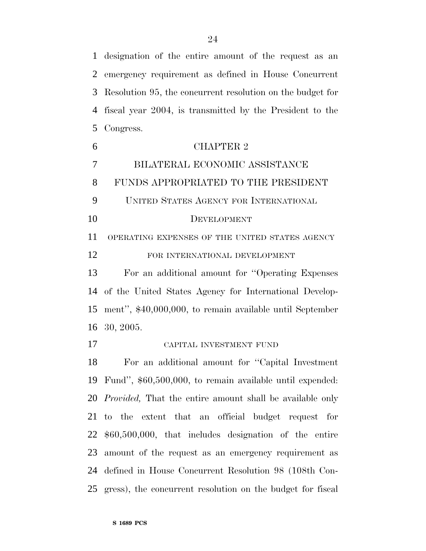designation of the entire amount of the request as an emergency requirement as defined in House Concurrent Resolution 95, the concurrent resolution on the budget for fiscal year 2004, is transmitted by the President to the Congress.

 CHAPTER 2 BILATERAL ECONOMIC ASSISTANCE FUNDS APPROPRIATED TO THE PRESIDENT UNITED STATES AGENCY FOR INTERNATIONAL DEVELOPMENT OPERATING EXPENSES OF THE UNITED STATES AGENCY FOR INTERNATIONAL DEVELOPMENT For an additional amount for ''Operating Expenses of the United States Agency for International Develop- ment'', \$40,000,000, to remain available until September 30, 2005. CAPITAL INVESTMENT FUND For an additional amount for ''Capital Investment Fund'', \$60,500,000, to remain available until expended: *Provided,* That the entire amount shall be available only to the extent that an official budget request for

 \$60,500,000, that includes designation of the entire amount of the request as an emergency requirement as defined in House Concurrent Resolution 98 (108th Con-gress), the concurrent resolution on the budget for fiscal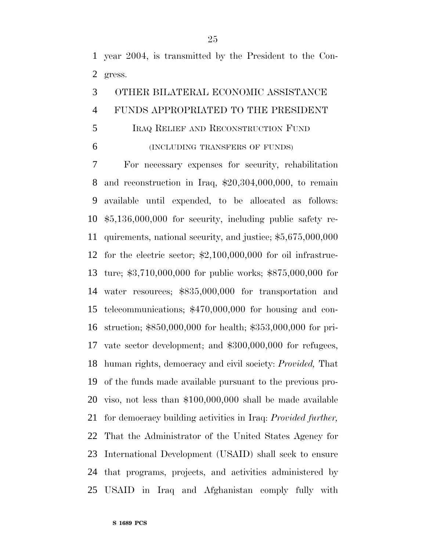year 2004, is transmitted by the President to the Con-gress.

### OTHER BILATERAL ECONOMIC ASSISTANCE FUNDS APPROPRIATED TO THE PRESIDENT

#### IRAQ RELIEF AND RECONSTRUCTION FUND

(INCLUDING TRANSFERS OF FUNDS)

 For necessary expenses for security, rehabilitation and reconstruction in Iraq, \$20,304,000,000, to remain available until expended, to be allocated as follows: \$5,136,000,000 for security, including public safety re- quirements, national security, and justice; \$5,675,000,000 for the electric sector; \$2,100,000,000 for oil infrastruc- ture; \$3,710,000,000 for public works; \$875,000,000 for water resources; \$835,000,000 for transportation and telecommunications; \$470,000,000 for housing and con- struction; \$850,000,000 for health; \$353,000,000 for pri- vate sector development; and \$300,000,000 for refugees, human rights, democracy and civil society: *Provided,* That of the funds made available pursuant to the previous pro- viso, not less than \$100,000,000 shall be made available for democracy building activities in Iraq: *Provided further,* That the Administrator of the United States Agency for International Development (USAID) shall seek to ensure that programs, projects, and activities administered by USAID in Iraq and Afghanistan comply fully with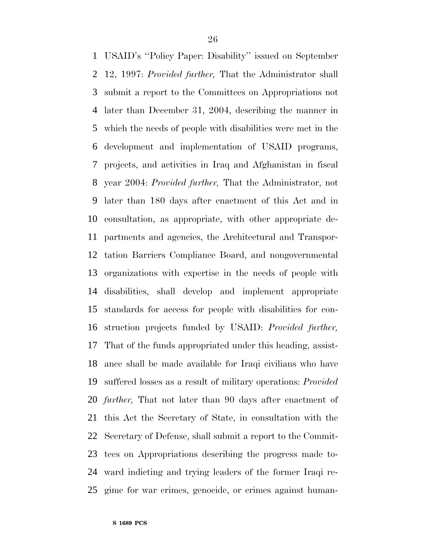USAID's ''Policy Paper: Disability'' issued on September 12, 1997: *Provided further,* That the Administrator shall submit a report to the Committees on Appropriations not later than December 31, 2004, describing the manner in which the needs of people with disabilities were met in the development and implementation of USAID programs, projects, and activities in Iraq and Afghanistan in fiscal year 2004: *Provided further,* That the Administrator, not later than 180 days after enactment of this Act and in consultation, as appropriate, with other appropriate de- partments and agencies, the Architectural and Transpor- tation Barriers Compliance Board, and nongovernmental organizations with expertise in the needs of people with disabilities, shall develop and implement appropriate standards for access for people with disabilities for con- struction projects funded by USAID: *Provided further,* That of the funds appropriated under this heading, assist- ance shall be made available for Iraqi civilians who have suffered losses as a result of military operations: *Provided further,* That not later than 90 days after enactment of this Act the Secretary of State, in consultation with the Secretary of Defense, shall submit a report to the Commit- tees on Appropriations describing the progress made to- ward indicting and trying leaders of the former Iraqi re-gime for war crimes, genocide, or crimes against human-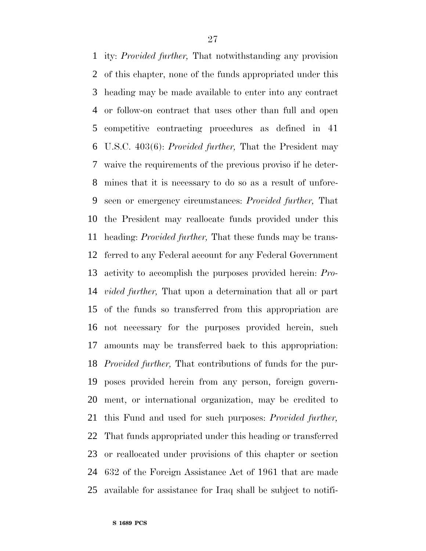ity: *Provided further,* That notwithstanding any provision of this chapter, none of the funds appropriated under this heading may be made available to enter into any contract or follow-on contract that uses other than full and open competitive contracting procedures as defined in 41 U.S.C. 403(6): *Provided further,* That the President may waive the requirements of the previous proviso if he deter- mines that it is necessary to do so as a result of unfore- seen or emergency circumstances: *Provided further,* That the President may reallocate funds provided under this heading: *Provided further,* That these funds may be trans- ferred to any Federal account for any Federal Government activity to accomplish the purposes provided herein: *Pro- vided further,* That upon a determination that all or part of the funds so transferred from this appropriation are not necessary for the purposes provided herein, such amounts may be transferred back to this appropriation: *Provided further,* That contributions of funds for the pur- poses provided herein from any person, foreign govern- ment, or international organization, may be credited to this Fund and used for such purposes: *Provided further,* That funds appropriated under this heading or transferred or reallocated under provisions of this chapter or section 632 of the Foreign Assistance Act of 1961 that are made available for assistance for Iraq shall be subject to notifi-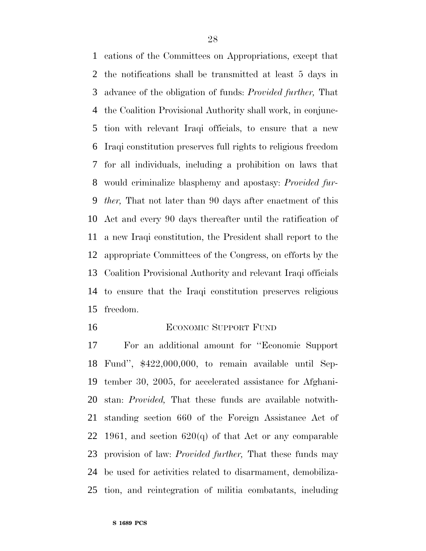cations of the Committees on Appropriations, except that the notifications shall be transmitted at least 5 days in advance of the obligation of funds: *Provided further,* That the Coalition Provisional Authority shall work, in conjunc- tion with relevant Iraqi officials, to ensure that a new Iraqi constitution preserves full rights to religious freedom for all individuals, including a prohibition on laws that would criminalize blasphemy and apostasy: *Provided fur- ther,* That not later than 90 days after enactment of this Act and every 90 days thereafter until the ratification of a new Iraqi constitution, the President shall report to the appropriate Committees of the Congress, on efforts by the Coalition Provisional Authority and relevant Iraqi officials to ensure that the Iraqi constitution preserves religious freedom.

#### 16 ECONOMIC SUPPORT FUND

 For an additional amount for ''Economic Support Fund'', \$422,000,000, to remain available until Sep- tember 30, 2005, for accelerated assistance for Afghani- stan: *Provided,* That these funds are available notwith- standing section 660 of the Foreign Assistance Act of 22 1961, and section  $620(q)$  of that Act or any comparable provision of law: *Provided further,* That these funds may be used for activities related to disarmament, demobiliza-tion, and reintegration of militia combatants, including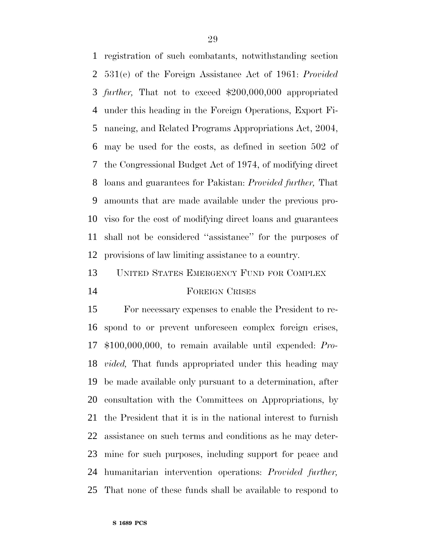registration of such combatants, notwithstanding section 531(e) of the Foreign Assistance Act of 1961: *Provided further,* That not to exceed \$200,000,000 appropriated under this heading in the Foreign Operations, Export Fi- nancing, and Related Programs Appropriations Act, 2004, may be used for the costs, as defined in section 502 of the Congressional Budget Act of 1974, of modifying direct loans and guarantees for Pakistan: *Provided further,* That amounts that are made available under the previous pro- viso for the cost of modifying direct loans and guarantees shall not be considered ''assistance'' for the purposes of provisions of law limiting assistance to a country.

### UNITED STATES EMERGENCY FUND FOR COMPLEX FOREIGN CRISES

 For necessary expenses to enable the President to re- spond to or prevent unforeseen complex foreign crises, \$100,000,000, to remain available until expended: *Pro- vided,* That funds appropriated under this heading may be made available only pursuant to a determination, after consultation with the Committees on Appropriations, by the President that it is in the national interest to furnish assistance on such terms and conditions as he may deter- mine for such purposes, including support for peace and humanitarian intervention operations: *Provided further,* That none of these funds shall be available to respond to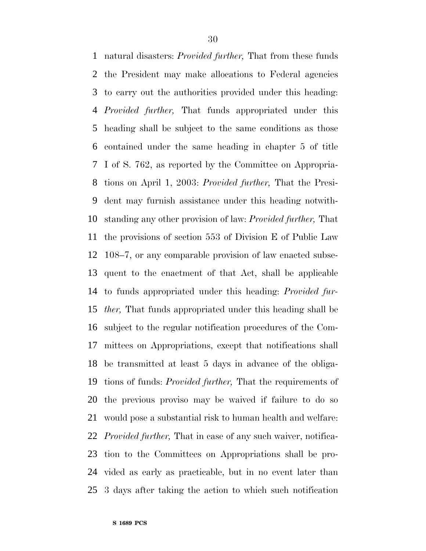natural disasters: *Provided further,* That from these funds the President may make allocations to Federal agencies to carry out the authorities provided under this heading: *Provided further,* That funds appropriated under this heading shall be subject to the same conditions as those contained under the same heading in chapter 5 of title I of S. 762, as reported by the Committee on Appropria- tions on April 1, 2003: *Provided further,* That the Presi- dent may furnish assistance under this heading notwith- standing any other provision of law: *Provided further,* That the provisions of section 553 of Division E of Public Law 108–7, or any comparable provision of law enacted subse- quent to the enactment of that Act, shall be applicable to funds appropriated under this heading: *Provided fur- ther,* That funds appropriated under this heading shall be subject to the regular notification procedures of the Com- mittees on Appropriations, except that notifications shall be transmitted at least 5 days in advance of the obliga- tions of funds: *Provided further,* That the requirements of the previous proviso may be waived if failure to do so would pose a substantial risk to human health and welfare: *Provided further,* That in case of any such waiver, notifica- tion to the Committees on Appropriations shall be pro- vided as early as practicable, but in no event later than 3 days after taking the action to which such notification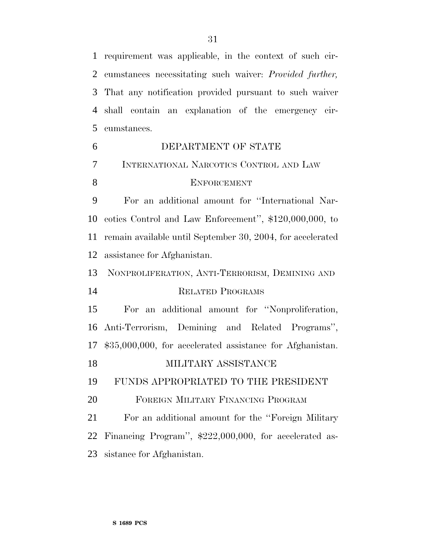requirement was applicable, in the context of such cir- cumstances necessitating such waiver: *Provided further,* That any notification provided pursuant to such waiver shall contain an explanation of the emergency cir-cumstances.

| 6              | DEPARTMENT OF STATE                                        |
|----------------|------------------------------------------------------------|
| $\overline{7}$ | INTERNATIONAL NARCOTICS CONTROL AND LAW                    |
| 8              | <b>ENFORCEMENT</b>                                         |
| 9              | For an additional amount for "International Nar-           |
| 10             | cotics Control and Law Enforcement", \$120,000,000, to     |
| 11             | remain available until September 30, 2004, for accelerated |
| 12             | assistance for Afghanistan.                                |
| 13             | NONPROLIFERATION, ANTI-TERRORISM, DEMINING AND             |
| 14             | <b>RELATED PROGRAMS</b>                                    |
| 15             | an additional amount for "Nonproliferation,<br>For         |
| 16             | Anti-Terrorism, Demining and Related Programs",            |
| 17             | \$35,000,000, for accelerated assistance for Afghanistan.  |
| 18             | MILITARY ASSISTANCE                                        |
| 19             | FUNDS APPROPRIATED TO THE PRESIDENT                        |
| 20             | FOREIGN MILITARY FINANCING PROGRAM                         |
| 21             | For an additional amount for the "Foreign Military"        |
| 22             | Financing Program", \$222,000,000, for accelerated as-     |
| 23             | sistance for Afghanistan.                                  |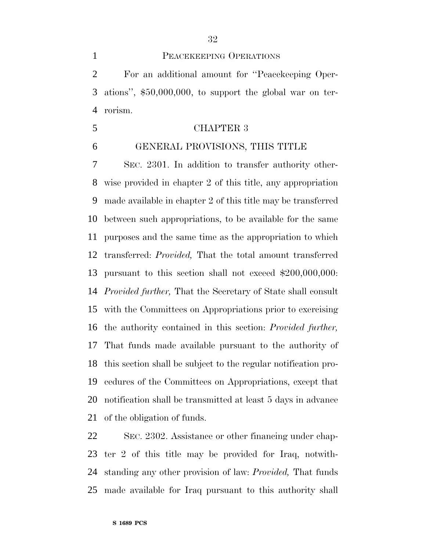#### PEACEKEEPING OPERATIONS

 For an additional amount for ''Peacekeeping Oper- ations'', \$50,000,000, to support the global war on ter-rorism.

#### CHAPTER 3

#### GENERAL PROVISIONS, THIS TITLE

 SEC. 2301. In addition to transfer authority other- wise provided in chapter 2 of this title, any appropriation made available in chapter 2 of this title may be transferred between such appropriations, to be available for the same purposes and the same time as the appropriation to which transferred: *Provided,* That the total amount transferred pursuant to this section shall not exceed \$200,000,000: *Provided further,* That the Secretary of State shall consult with the Committees on Appropriations prior to exercising the authority contained in this section: *Provided further,* That funds made available pursuant to the authority of this section shall be subject to the regular notification pro- cedures of the Committees on Appropriations, except that notification shall be transmitted at least 5 days in advance of the obligation of funds.

 SEC. 2302. Assistance or other financing under chap- ter 2 of this title may be provided for Iraq, notwith- standing any other provision of law: *Provided,* That funds made available for Iraq pursuant to this authority shall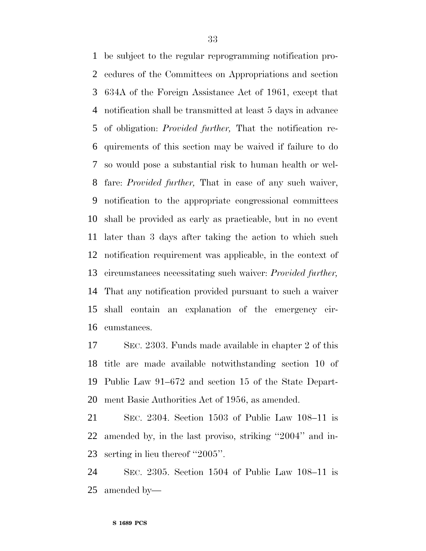be subject to the regular reprogramming notification pro- cedures of the Committees on Appropriations and section 634A of the Foreign Assistance Act of 1961, except that notification shall be transmitted at least 5 days in advance of obligation: *Provided further,* That the notification re- quirements of this section may be waived if failure to do so would pose a substantial risk to human health or wel- fare: *Provided further,* That in case of any such waiver, notification to the appropriate congressional committees shall be provided as early as practicable, but in no event later than 3 days after taking the action to which such notification requirement was applicable, in the context of circumstances necessitating such waiver: *Provided further,* That any notification provided pursuant to such a waiver shall contain an explanation of the emergency cir-cumstances.

 SEC. 2303. Funds made available in chapter 2 of this title are made available notwithstanding section 10 of Public Law 91–672 and section 15 of the State Depart-ment Basic Authorities Act of 1956, as amended.

 SEC. 2304. Section 1503 of Public Law 108–11 is amended by, in the last proviso, striking ''2004'' and in-serting in lieu thereof ''2005''.

 SEC. 2305. Section 1504 of Public Law 108–11 is amended by—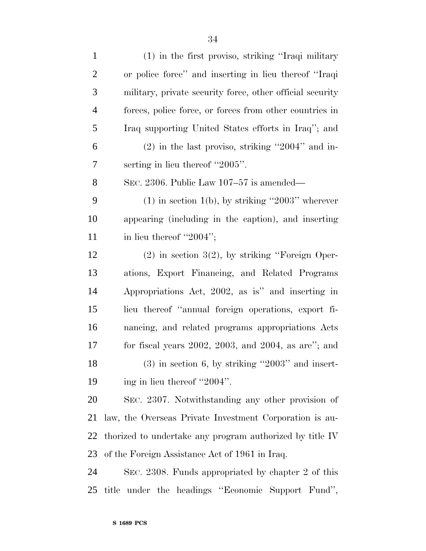| $\mathbf{1}$   | (1) in the first proviso, striking "Iraqi military           |
|----------------|--------------------------------------------------------------|
| $\overline{2}$ | or police force" and inserting in lieu thereof "Iraqi        |
| $\mathfrak{Z}$ | military, private security force, other official security    |
| $\overline{4}$ | forces, police force, or forces from other countries in      |
| 5              | Iraq supporting United States efforts in Iraq''; and         |
| 6              | $(2)$ in the last proviso, striking "2004" and in-           |
| 7              | serting in lieu thereof "2005".                              |
| 8              | SEC. 2306. Public Law $107-57$ is amended—                   |
| 9              | $(1)$ in section 1(b), by striking "2003" wherever           |
| 10             | appearing (including in the caption), and inserting          |
| 11             | in lieu thereof "2004";                                      |
| 12             | $(2)$ in section 3(2), by striking "Foreign Oper-            |
| 13             | ations, Export Financing, and Related Programs               |
| 14             | Appropriations Act, 2002, as is" and inserting in            |
| 15             | lieu thereof "annual foreign operations, export fi-          |
| 16             | nancing, and related programs appropriations Acts            |
| 17             | for fiscal years $2002$ , $2003$ , and $2004$ , as are"; and |
| 18             | $(3)$ in section 6, by striking "2003" and insert-           |
| 19             | ing in lieu thereof "2004".                                  |
| 20             | SEC. 2307. Notwithstanding any other provision of            |
| 21             | law, the Overseas Private Investment Corporation is au-      |
| 22             | thorized to undertake any program authorized by title IV     |
| 23             | of the Foreign Assistance Act of 1961 in Iraq.               |
| 24             | SEC. 2308. Funds appropriated by chapter 2 of this           |
| 25             | title under the headings "Economic Support Fund",            |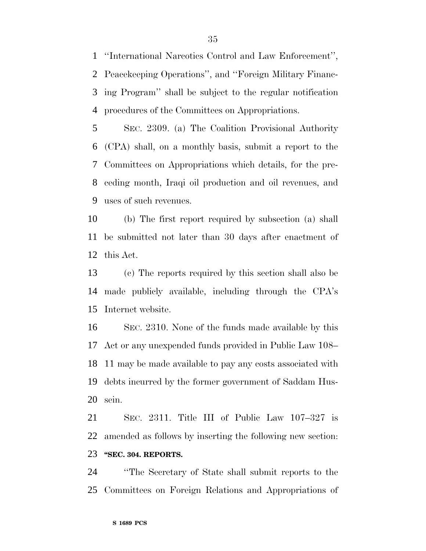''International Narcotics Control and Law Enforcement'', Peacekeeping Operations'', and ''Foreign Military Financ- ing Program'' shall be subject to the regular notification procedures of the Committees on Appropriations.

 SEC. 2309. (a) The Coalition Provisional Authority (CPA) shall, on a monthly basis, submit a report to the Committees on Appropriations which details, for the pre- ceding month, Iraqi oil production and oil revenues, and uses of such revenues.

 (b) The first report required by subsection (a) shall be submitted not later than 30 days after enactment of this Act.

 (c) The reports required by this section shall also be made publicly available, including through the CPA's Internet website.

 SEC. 2310. None of the funds made available by this Act or any unexpended funds provided in Public Law 108– 11 may be made available to pay any costs associated with debts incurred by the former government of Saddam Hus-sein.

 SEC. 2311. Title III of Public Law 107–327 is amended as follows by inserting the following new section: **''SEC. 304. REPORTS.** 

 ''The Secretary of State shall submit reports to the Committees on Foreign Relations and Appropriations of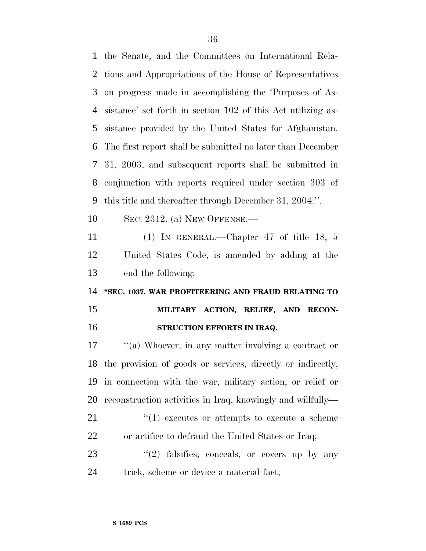the Senate, and the Committees on International Rela- tions and Appropriations of the House of Representatives on progress made in accomplishing the 'Purposes of As- sistance' set forth in section 102 of this Act utilizing as- sistance provided by the United States for Afghanistan. The first report shall be submitted no later than December 31, 2003, and subsequent reports shall be submitted in conjunction with reports required under section 303 of this title and thereafter through December 31, 2004.''.

SEC. 2312. (a) NEW OFFENSE.—

 (1) IN GENERAL.—Chapter 47 of title 18, 5 United States Code, is amended by adding at the end the following:

 **''SEC. 1037. WAR PROFITEERING AND FRAUD RELATING TO MILITARY ACTION, RELIEF, AND RECON-STRUCTION EFFORTS IN IRAQ.** 

 ''(a) Whoever, in any matter involving a contract or the provision of goods or services, directly or indirectly, in connection with the war, military action, or relief or reconstruction activities in Iraq, knowingly and willfully—

21  $\frac{u(1)}{2}$  executes or attempts to execute a scheme or artifice to defraud the United States or Iraq;

23 "(2) falsifies, conceals, or covers up by any trick, scheme or device a material fact;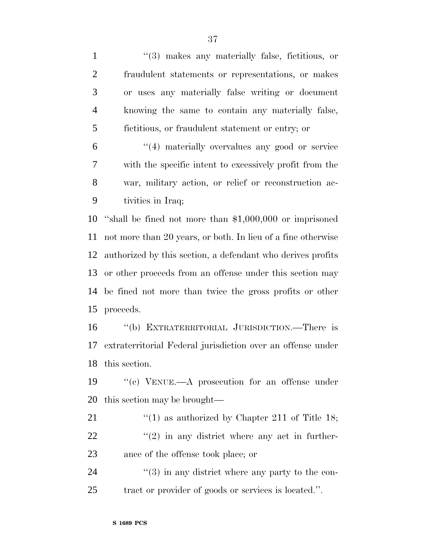1 ''(3) makes any materially false, fictitious, or fraudulent statements or representations, or makes or uses any materially false writing or document knowing the same to contain any materially false, fictitious, or fraudulent statement or entry; or ''(4) materially overvalues any good or service with the specific intent to excessively profit from the

 war, military action, or relief or reconstruction ac-tivities in Iraq;

 ''shall be fined not more than \$1,000,000 or imprisoned not more than 20 years, or both. In lieu of a fine otherwise authorized by this section, a defendant who derives profits or other proceeds from an offense under this section may be fined not more than twice the gross profits or other proceeds.

 ''(b) EXTRATERRITORIAL JURISDICTION.—There is extraterritorial Federal jurisdiction over an offense under this section.

 ''(c) VENUE.—A prosecution for an offense under this section may be brought—

21  $\frac{1}{2}$  (1) as authorized by Chapter 211 of Title 18;  $\frac{1}{22}$  ''(2) in any district where any act in further-ance of the offense took place; or

 ''(3) in any district where any party to the con-tract or provider of goods or services is located.''.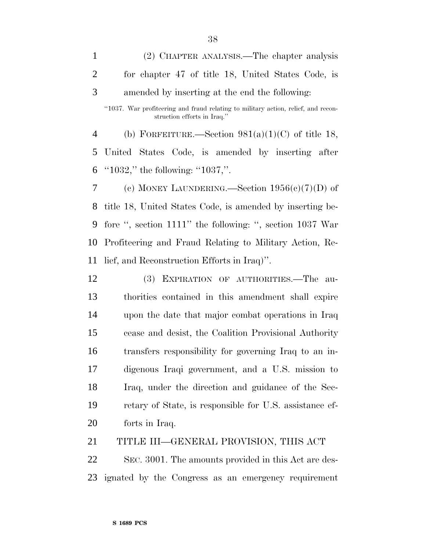(2) CHAPTER ANALYSIS.—The chapter analysis for chapter 47 of title 18, United States Code, is amended by inserting at the end the following: ''1037. War profiteering and fraud relating to military action, relief, and reconstruction efforts in Iraq.'' 4 (b) FORFEITURE.—Section  $981(a)(1)(C)$  of title 18, United States Code, is amended by inserting after ''1032,'' the following: ''1037,''. 7 (c) MONEY LAUNDERING.—Section  $1956(c)(7)(D)$  of

 title 18, United States Code, is amended by inserting be- fore '', section 1111'' the following: '', section 1037 War Profiteering and Fraud Relating to Military Action, Re-lief, and Reconstruction Efforts in Iraq)''.

 (3) EXPIRATION OF AUTHORITIES.—The au- thorities contained in this amendment shall expire upon the date that major combat operations in Iraq cease and desist, the Coalition Provisional Authority transfers responsibility for governing Iraq to an in- digenous Iraqi government, and a U.S. mission to Iraq, under the direction and guidance of the Sec- retary of State, is responsible for U.S. assistance ef-forts in Iraq.

TITLE III—GENERAL PROVISION, THIS ACT

 SEC. 3001. The amounts provided in this Act are des-ignated by the Congress as an emergency requirement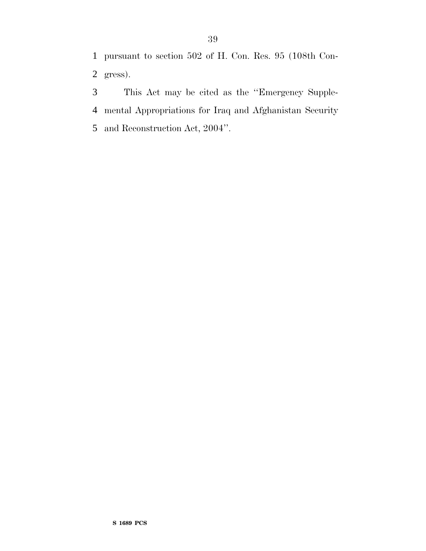pursuant to section 502 of H. Con. Res. 95 (108th Con-gress).

 This Act may be cited as the ''Emergency Supple- mental Appropriations for Iraq and Afghanistan Security and Reconstruction Act, 2004''.